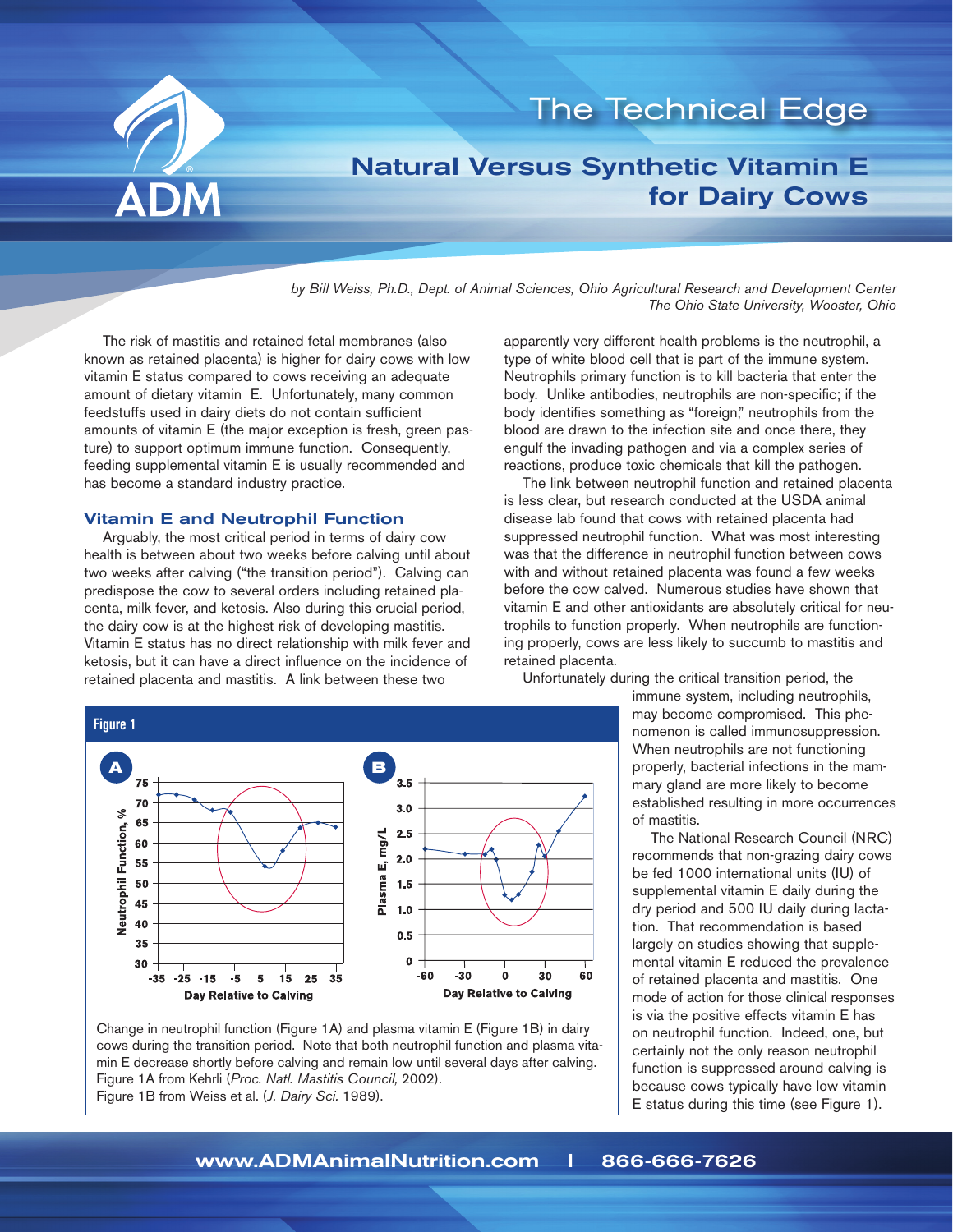

# The Technical Edge

## Natural Versus Synthetic Vitamin E for Dairy Cows

*by Bill Weiss, Ph.D., Dept. of Animal Sciences, Ohio Agricultural Research and Development Center The Ohio State University, Wooster, Ohio*

The risk of mastitis and retained fetal membranes (also known as retained placenta) is higher for dairy cows with low vitamin E status compared to cows receiving an adequate amount of dietary vitamin E. Unfortunately, many common feedstuffs used in dairy diets do not contain sufficient **75 3.5** amounts of vitamin E (the major exception is fresh, green pas ture) to support optimum immune function. Consequently, **70 % 3.0** feeding supplemental vitamin E is usually recommended and **65 2.5** has become a standard industry practice. **60** m<br>**ic**<br>:

#### Vitamin E and Neutrophil Function **50 1.5**

Arguably, the most critical period in terms of dairy cow **45** health is between about two weeks before calving until about **40** two weeks after calving ("the transition period"). Calving can **35 0.5** predispose the cow to several orders including retained placenta, milk fever, and ketosis. Also during this crucial period, **30 -60 -30 0 30** the dairy cow is at the highest risk of developing mastitis. Vitamin E status has no direct relationship with milk fever and ketosis, but it can have a direct influence on the incidence of retained placenta and mastitis. A link between these two ng<br>Per<br>Digi **-35 -25 -15 -5 5 15 25 35 0 1.0**



The link between neutrophil function and retained placenta is less clear, but research conducted at the USDA animal disease lab found that cows with retained placenta had suppressed neutrophil function. What was most interesting was that the difference in neutrophil function between cows with and without retained placenta was found a few weeks before the cow calved. Numerous studies have shown that vitamin E and other antioxidants are absolutely critical for neu-**60** trophils to function properly. When neutrophils are functioning properly, cows are less likely to succumb to mastitis and retained placenta.

Unfortunately during the critical transition period, the



Change in neutrophil function (Figure 1A) and plasma vitamin E (Figure 1B) in dairy cows during the transition period. Note that both neutrophil function and plasma vitamin E decrease shortly before calving and remain low until several days after calving. Figure 1A from Kehrli (*Proc. Natl. Mastitis Council,* 2002). Figure 1B from Weiss et al. (*J. Dairy Sci.* 1989).

immune system, including neutrophils, may become compromised. This phenomenon is called immunosuppression. When neutrophils are not functioning properly, bacterial infections in the mammary gland are more likely to become established resulting in more occurrences of mastitis.

The National Research Council (NRC) recommends that non-grazing dairy cows be fed 1000 international units (IU) of supplemental vitamin E daily during the dry period and 500 IU daily during lactation. That recommendation is based largely on studies showing that supplemental vitamin E reduced the prevalence of retained placenta and mastitis. One mode of action for those clinical responses is via the positive effects vitamin E has on neutrophil function. Indeed, one, but certainly not the only reason neutrophil function is suppressed around calving is because cows typically have low vitamin E status during this time (see Figure 1).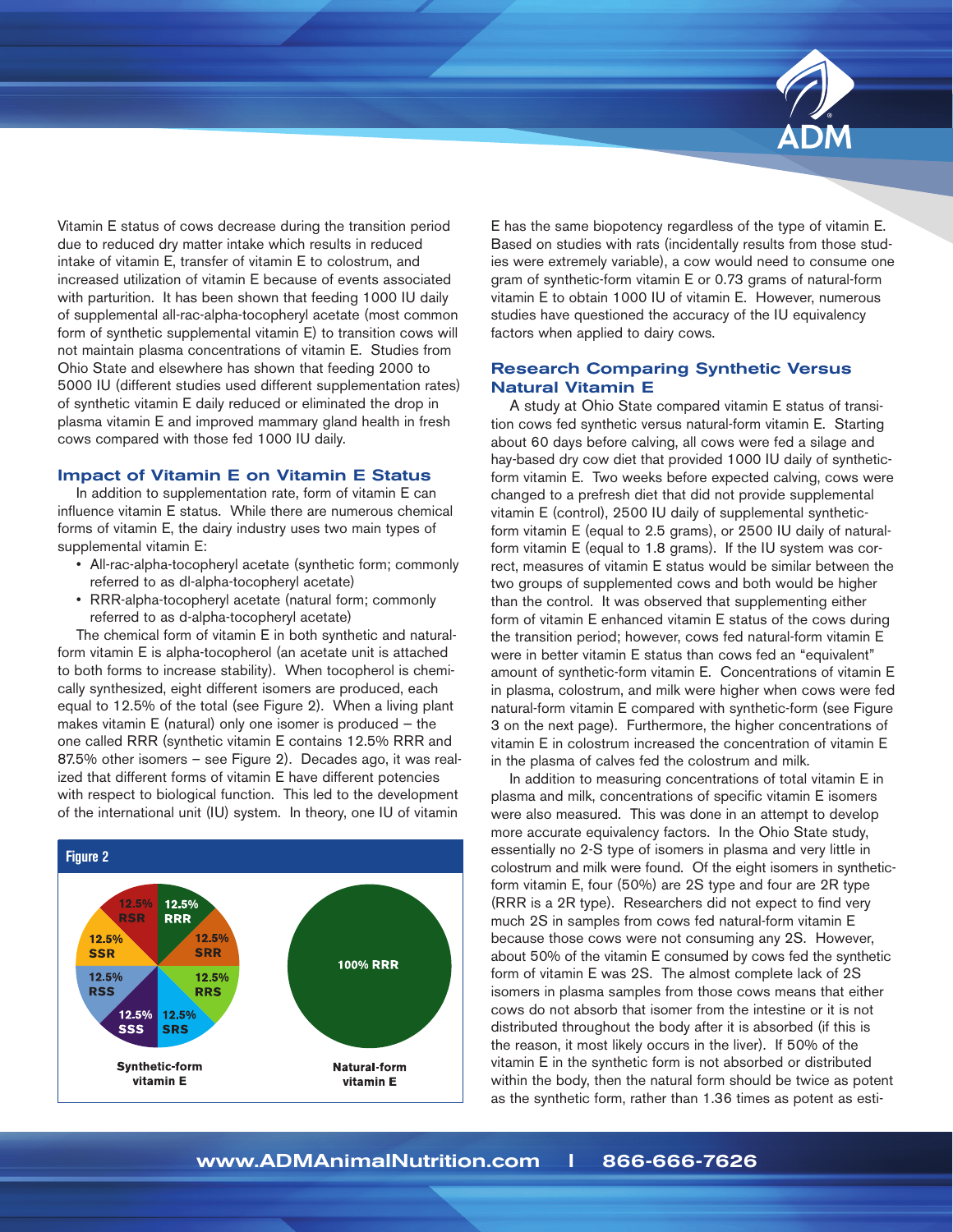

Vitamin E status of cows decrease during the transition period due to reduced dry matter intake which results in reduced intake of vitamin E, transfer of vitamin E to colostrum, and increased utilization of vitamin E because of events associated with parturition. It has been shown that feeding 1000 IU daily of supplemental all-rac-alpha-tocopheryl acetate (most common form of synthetic supplemental vitamin E) to transition cows will not maintain plasma concentrations of vitamin E. Studies from Ohio State and elsewhere has shown that feeding 2000 to 5000 IU (different studies used different supplementation rates) of synthetic vitamin E daily reduced or eliminated the drop in plasma vitamin E and improved mammary gland health in fresh cows compared with those fed 1000 IU daily.

## Impact of Vitamin E on Vitamin E Status

In addition to supplementation rate, form of vitamin E can influence vitamin E status. While there are numerous chemical forms of vitamin E, the dairy industry uses two main types of supplemental vitamin E:

- All-rac-alpha-tocopheryl acetate (synthetic form; commonly referred to as dl-alpha-tocopheryl acetate)
- RRR-alpha-tocopheryl acetate (natural form; commonly referred to as d-alpha-tocopheryl acetate)

The chemical form of vitamin E in both synthetic and naturalform vitamin E is alpha-tocopherol (an acetate unit is attached **12.5% 12.5%** to both forms to increase stability). When tocopherol is chemi-**RSR RRR** cally synthesized, eight different isomers are produced, each **12.5% 12.5%** equal to 12.5% of the total (see Figure 2). When a living plant makes vitamin E (natural) only one isomer is produced – the one called RRR (synthetic vitamin E contains 12.5% RRR and 87.5% other isomers – see Figure 2). Decades ago, it was realized that different forms of vitamin E have different potencies **12.5%** with respect to biological function. This led to the development of the international unit (IU) system. In theory, one IU of vitamin IL IUI **12.5% SSS 100% RRR**



E has the same biopotency regardless of the type of vitamin E. Based on studies with rats (incidentally results from those studies were extremely variable), a cow would need to consume one gram of synthetic-form vitamin E or 0.73 grams of natural-form vitamin E to obtain 1000 IU of vitamin E. However, numerous studies have questioned the accuracy of the IU equivalency factors when applied to dairy cows.

## Research Comparing Synthetic Versus Natural Vitamin E

A study at Ohio State compared vitamin E status of transition cows fed synthetic versus natural-form vitamin E. Starting about 60 days before calving, all cows were fed a silage and hay-based dry cow diet that provided 1000 IU daily of syntheticform vitamin E. Two weeks before expected calving, cows were changed to a prefresh diet that did not provide supplemental vitamin E (control), 2500 IU daily of supplemental syntheticform vitamin E (equal to 2.5 grams), or 2500 IU daily of naturalform vitamin E (equal to 1.8 grams). If the IU system was correct, measures of vitamin E status would be similar between the two groups of supplemented cows and both would be higher than the control. It was observed that supplementing either form of vitamin E enhanced vitamin E status of the cows during the transition period; however, cows fed natural-form vitamin E were in better vitamin E status than cows fed an "equivalent" amount of synthetic-form vitamin E. Concentrations of vitamin E in plasma, colostrum, and milk were higher when cows were fed natural-form vitamin E compared with synthetic-form (see Figure 3 on the next page). Furthermore, the higher concentrations of vitamin E in colostrum increased the concentration of vitamin E in the plasma of calves fed the colostrum and milk.

In addition to measuring concentrations of total vitamin E in plasma and milk, concentrations of specific vitamin E isomers were also measured. This was done in an attempt to develop more accurate equivalency factors. In the Ohio State study, essentially no 2-S type of isomers in plasma and very little in colostrum and milk were found. Of the eight isomers in syntheticform vitamin E, four (50%) are 2S type and four are 2R type (RRR is a 2R type). Researchers did not expect to find very much 2S in samples from cows fed natural-form vitamin E because those cows were not consuming any 2S. However, about 50% of the vitamin E consumed by cows fed the synthetic form of vitamin E was 2S. The almost complete lack of 2S isomers in plasma samples from those cows means that either cows do not absorb that isomer from the intestine or it is not distributed throughout the body after it is absorbed (if this is the reason, it most likely occurs in the liver). If 50% of the vitamin E in the synthetic form is not absorbed or distributed within the body, then the natural form should be twice as potent as the synthetic form, rather than 1.36 times as potent as esti-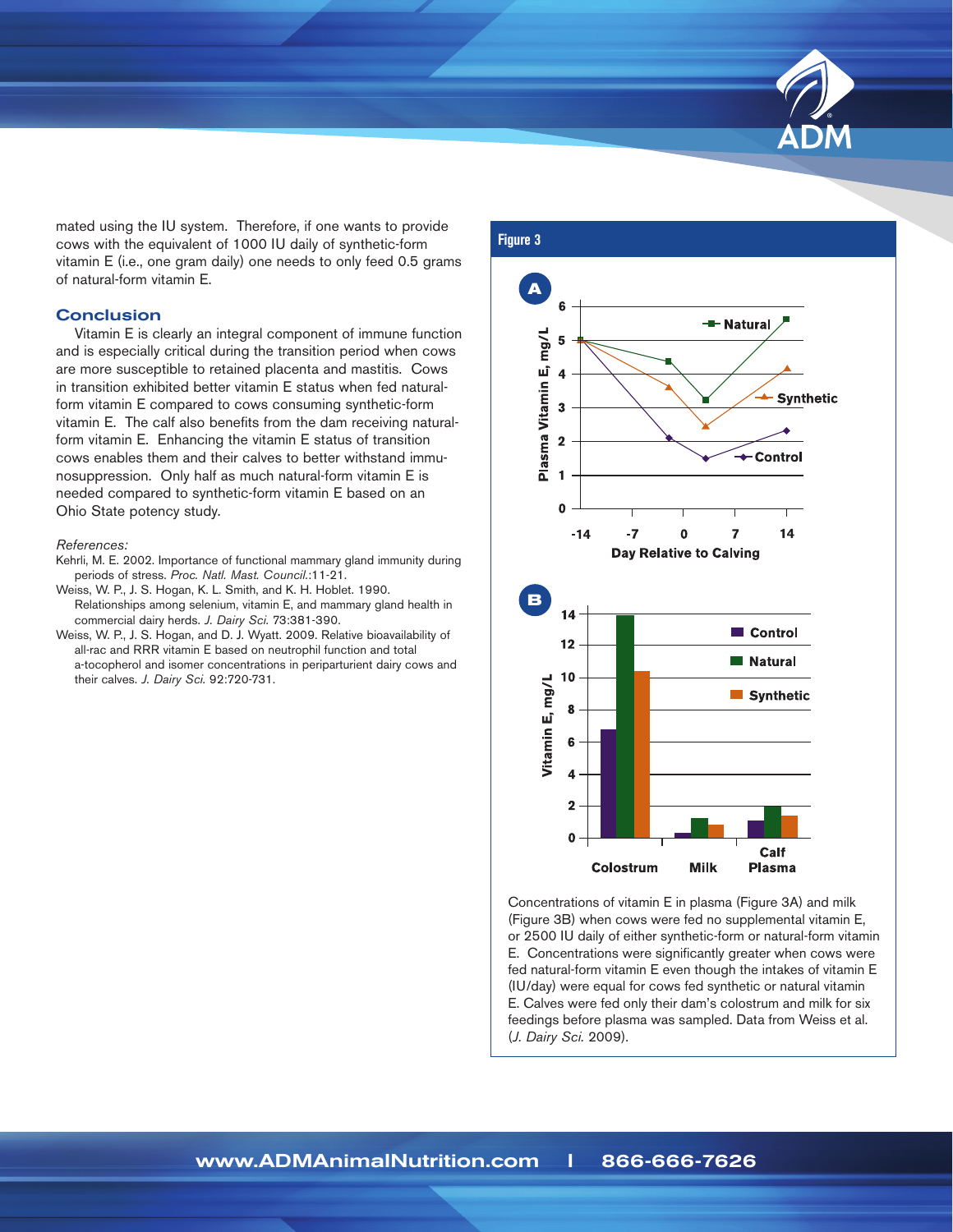

**Vitamin E, mg/L**

**0**

**4**

mated using the IU system. Therefore, if one wants to provide cows with the equivalent of 1000 IU daily of synthetic-form vitamin E (i.e., one gram daily) one needs to only feed 0.5 grams of natural-form vitamin E.

#### **Conclusion**

**STICTUSIOTI**<br>Vitamin E is clearly an integral component of immune function and is especially critical during the transition period when cows **4** are more susceptible to retained placenta and mastitis. Cows in transition exhibited better vitamin E status when fed naturalform vitamin E compared to cows consuming synthetic-form vitamin E. The calf also benefits from the dam receiving naturalform vitamin E. Enhancing the vitamin E status of transition **Control** cows enables them and their calves to better withstand immu-**1** nosuppression. Only half as much natural-form vitamin E is needed compared to synthetic-form vitamin E based on an **0** Ohio State potency study. **Plan<br>Plasma**<br>Plasma<br>Plasma<br>Plasma

#### *References:*

- Kehrli, M. E. 2002. Importance of functional mammary gland immunity during periods of stress. *Proc. Natl. Mast. Council.*:11-21.
- peniods of stress. *PToc. Nati. Mast. Courten.* (11-21)<br>Weiss, W. P., J. S. Hogan, K. L. Smith, and K. H. Hoblet. 1990. Relationships among selenium, vitamin E, and mammary gland health in commercial dairy herds. *J. Dairy Sci.* 73:381-390.
- Weiss, W. P., J. S. Hogan, and D. J. Wyatt. 2009. Relative bioavailability of all-rac and RRR vitamin E based on neutrophil function and total a-tocopherol and isomer concentrations in periparturient dairy cows and their calves. *J. Dairy Sci.* 92:720-731.



**Day Relative to Calving**

÷.

Concentrations of vitamin E in plasma (Figure 3A) and milk (Figure 3B) when cows were fed no supplemental vitamin E, or 2500 IU daily of either synthetic-form or natural-form vitamin E. Concentrations were significantly greater when cows were fed natural-form vitamin E even though the intakes of vitamin E (IU/day) were equal for cows fed synthetic or natural vitamin E. Calves were fed only their dam's colostrum and milk for six feedings before plasma was sampled. Data from Weiss et al. (*J. Dairy Sci.* 2009).

## **Figure 3**

**1**

**3 Plasma Vitamin E, mg/L**